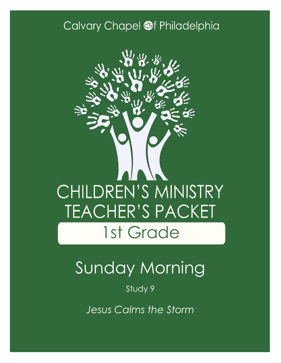### Calvary Chapel @f Philadelphia



# Sunday Morning

Study 9

*Jesus Calms the Storm*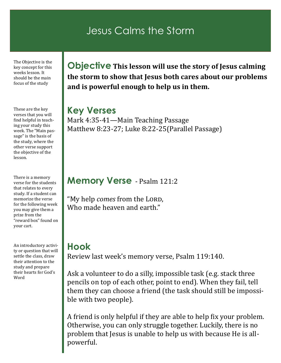### Jesus Calms the Storm

The Objective is the key concept for this weeks lesson. It should be the main focus of the study

These are the key verses that you will find helpful in teaching your study this week. The "Main passage" is the basis of the study, where the other verse support the objective of the lesson.

There is a memory verse for the students that relates to every study. If a student can memorize the verse for the following week you may give them a prize from the "reward box" found on your cart.

An introductory activity or question that will settle the class, draw their attention to the study and prepare their hearts for God's Word

**Objective This lesson will use the story of Jesus calming the storm to show that Jesus both cares about our problems and is powerful enough to help us in them.**

#### **Key Verses**

Mark 4:35-41—Main Teaching Passage Matthew 8:23-27; Luke 8:22-25(Parallel Passage)

#### **Memory Verse** - Psalm 121:2

"My help *comes* from the LORD, Who made heaven and earth."

#### **Hook**

Review last week's memory verse, Psalm 119:140.

Ask a volunteer to do a silly, impossible task (e.g. stack three pencils on top of each other, point to end). When they fail, tell them they can choose a friend (the task should still be impossible with two people).

A friend is only helpful if they are able to help fix your problem. Otherwise, you can only struggle together. Luckily, there is no problem that Jesus is unable to help us with because He is allpowerful.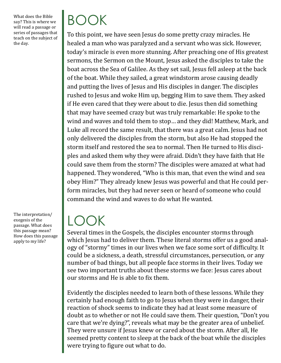What does the Bible say? This is where we will read a passage or series of passages that teach on the subject of the day.

BOOK

To this point, we have seen Jesus do some pretty crazy miracles. He healed a man who was paralyzed and a servant who was sick. However, today's miracle is even more stunning. After preaching one of His greatest sermons, the Sermon on the Mount, Jesus asked the disciples to take the boat across the Sea of Galilee. As they set sail, Jesus fell asleep at the back of the boat. While they sailed, a great windstorm arose causing deadly and putting the lives of Jesus and His disciples in danger. The disciples rushed to Jesus and woke Him up, begging Him to save them. They asked if He even cared that they were about to die. Jesus then did something that may have seemed crazy but was truly remarkable: He spoke to the wind and waves and told them to stop… and they did! Matthew, Mark, and Luke all record the same result, that there was a great calm. Jesus had not only delivered the disciples from the storm, but also He had stopped the storm itself and restored the sea to normal. Then He turned to His disciples and asked them why they were afraid. Didn't they have faith that He could save them from the storm? The disciples were amazed at what had happened. They wondered, "Who is this man, that even the wind and sea obey Him?" They already knew Jesus was powerful and that He could perform miracles, but they had never seen or heard of someone who could command the wind and waves to do what He wanted.

## LOOK

Several times in the Gospels, the disciples encounter storms through which Jesus had to deliver them. These literal storms offer us a good analogy of "stormy" times in our lives when we face some sort of difficulty. It could be a sickness, a death, stressful circumstances, persecution, or any number of bad things, but all people face storms in their lives. Today we see two important truths about these storms we face: Jesus cares about our storms and He is able to fix them.

Evidently the disciples needed to learn both of these lessons. While they certainly had enough faith to go to Jesus when they were in danger, their reaction of shock seems to indicate they had at least some measure of doubt as to whether or not He could save them. Their question, "Don't you care that we're dying?", reveals what may be the greater area of unbelief. They were unsure if Jesus knew or cared about the storm. After all, He seemed pretty content to sleep at the back of the boat while the disciples were trying to figure out what to do.

The interpretation/ exegesis of the passage. What does this passage mean? How does this passage apply to my life?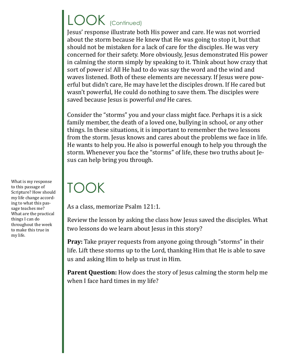# LOOK (Continued)

Jesus' response illustrate both His power and care. He was not worried about the storm because He knew that He was going to stop it, but that should not be mistaken for a lack of care for the disciples. He was very concerned for their safety. More obviously, Jesus demonstrated His power in calming the storm simply by speaking to it. Think about how crazy that sort of power is! All He had to do was say the word and the wind and waves listened. Both of these elements are necessary. If Jesus were powerful but didn't care, He may have let the disciples drown. If He cared but wasn't powerful, He could do nothing to save them. The disciples were saved because Jesus is powerful *and* He cares.

Consider the "storms" you and your class might face. Perhaps it is a sick family member, the death of a loved one, bullying in school, or any other things. In these situations, it is important to remember the two lessons from the storm. Jesus knows and cares about the problems we face in life. He wants to help you. He also is powerful enough to help you through the storm. Whenever you face the "storms" of life, these two truths about Jesus can help bring you through.

## TOOK

As a class, memorize Psalm 121:1.

Review the lesson by asking the class how Jesus saved the disciples. What two lessons do we learn about Jesus in this story?

**Pray:** Take prayer requests from anyone going through "storms" in their life. Lift these storms up to the Lord, thanking Him that He is able to save us and asking Him to help us trust in Him.

**Parent Question:** How does the story of Jesus calming the storm help me when I face hard times in my life?

What is my response to this passage of Scripture? How should my life change according to what this passage teaches me? What are the practical things I can do throughout the week to make this true in my life.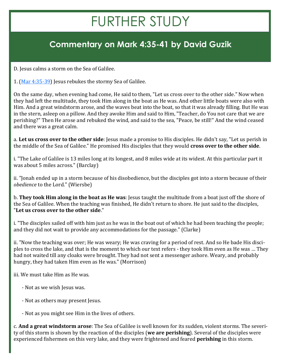## FURTHER STUDY

### **Commentary on Mark 4:35-41 by David Guzik**

D. Jesus calms a storm on the Sea of Galilee.

1. [\(Mar 4:35](https://www.blueletterbible.org/kjv/mark/4/35-39/s_961035)-39) Jesus rebukes the stormy Sea of Galilee.

On the same day, when evening had come, He said to them, "Let us cross over to the other side." Now when they had left the multitude, they took Him along in the boat as He was. And other little boats were also with Him. And a great windstorm arose, and the waves beat into the boat, so that it was already filling. But He was in the stern, asleep on a pillow. And they awoke Him and said to Him, "Teacher, do You not care that we are perishing?" Then He arose and rebuked the wind, and said to the sea, "Peace, be still!" And the wind ceased and there was a great calm.

a. **Let us cross over to the other side**: Jesus made a promise to His disciples. He didn't say, "Let us perish in the middle of the Sea of Galilee." He promised His disciples that they would **cross over to the other side**.

i. "The Lake of Galilee is 13 miles long at its longest, and 8 miles wide at its widest. At this particular part it was about 5 miles across." (Barclay)

ii. "Jonah ended up in a storm because of his disobedience, but the disciples got into a storm because of their *obedience* to the Lord." (Wiersbe)

b. **They took Him along in the boat as He was**: Jesus taught the multitude from a boat just off the shore of the Sea of Galilee. When the teaching was finished, He didn't return to shore. He just said to the disciples, "**Let us cross over to the other side**."

i. "The disciples sailed off with him just as he was in the boat out of which he had been teaching the people; and they did not wait to provide any accommodations for the passage." (Clarke)

ii. "Now the teaching was over; He was weary; He was craving for a period of rest. And so He bade His disciples to cross the lake, and that is the moment to which our text refers - they took Him even as He was … They had not waited till any cloaks were brought. They had not sent a messenger ashore. Weary, and probably hungry, they had taken Him even as He was." (Morrison)

iii. We must take Him as He was.

- Not as we wish Jesus was.
- Not as others may present Jesus.
- Not as you might see Him in the lives of others.

c. **And a great windstorm arose**: The Sea of Galilee is well known for its sudden, violent storms. The severity of this storm is shown by the reaction of the disciples (**we are perishing**). Several of the disciples were experienced fishermen on this very lake, and they were frightened and feared **perishing** in this storm.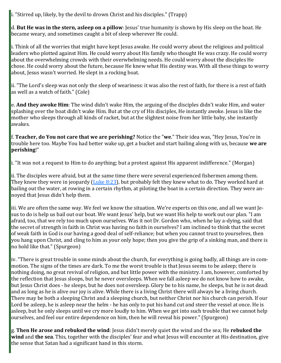i. "Stirred up, likely, by the devil to drown Christ and his disciples." (Trapp)

d. **But He was in the stern, asleep on a pillow**: Jesus' true humanity is shown by His sleep on the boat. He became weary, and sometimes caught a bit of sleep wherever He could.

i. Think of all the worries that might have kept Jesus awake. He could worry about the religious and political leaders who plotted against Him. He could worry about His family who thought He was crazy. He could worry about the overwhelming crowds with their overwhelming needs. He could worry about the disciples He chose. He could worry about the future, because He knew what His destiny was. With all these things to worry about, Jesus wasn't worried. He slept in a rocking boat.

ii. "The Lord's sleep was not only the sleep of weariness: it was also the rest of faith, for there is a rest of faith as well as a watch of faith." (Cole)

e. **And they awoke Him**: The wind didn't wake Him, the arguing of the disciples didn't wake Him, and water splashing over the boat didn't wake Him. But at the cry of His disciples, He instantly awoke. Jesus is like the mother who sleeps through all kinds of racket, but at the slightest noise from her little baby, she instantly awakes.

f. **Teacher, do You not care that we are perishing?** Notice the "**we**." Their idea was, "Hey Jesus, You're in trouble here too. Maybe You had better wake up, get a bucket and start bailing along with us, because **we are perishing**!"

i. "It was not a request to Him to do anything; but a protest against His apparent indifference." (Morgan)

ii. The disciples were afraid, but at the same time there were several experienced fishermen among them. They knew they were in jeopardy ([Luke 8:23\)](https://www.blueletterbible.org/kjv/luke/8/23/s_981023), but probably felt they knew what to do. They worked hard at bailing out the water, at rowing in a certain rhythm, at piloting the boat in a certain direction. They were annoyed that Jesus didn't help them.

iii. We are often the same way. We feel we know the situation. We're experts on this one, and all we want Jesus to do is help us bail out our boat. We want Jesus' help, but we want His help to work out our plan. "I am afraid, too, that we rely too much upon ourselves. Was it not Dr. Gordon who, when he lay a-dying, said that the secret of strength in faith in Christ was having no faith in ourselves? I am inclined to think that the secret of weak faith in God is our having a good deal of self-reliance; but when you cannot trust to yourselves, then you hang upon Christ, and cling to him as your only hope; then you give the grip of a sinking man, and there is no hold like that." (Spurgeon)

iv. "There is great trouble in some minds about the church, for everything is going badly, all things are in commotion. The signs of the times are dark. To me the worst trouble is that Jesus seems to be asleep; there is nothing doing, no great revival of religion, and but little power with the ministry. I am, however, comforted by the reflection that Jesus sloops, but he never oversleeps. When we fall asleep we do not know how to awake, but Jesus Christ does - he sleeps, but he does not oversleep. Glory be to his name, he sleeps, but he is not dead: and as long as he is alive our joy is alive. While there is a living Christ there will always be a living church. There may be both a sleeping Christ and a sleeping church, but neither Christ nor his church can perish. If our Lord be asleep, he is asleep near the helm - he has only to put his hand cut and steer the vessel at once. He is asleep, but he only sleeps until we cry more loudly to him. When we get into such trouble that we cannot help ourselves, and feel our entire dependence on him, then he will reveal his power." (Spurgeon)

g. **Then He arose and rebuked the wind**: Jesus didn't merely quiet the wind and the sea; He **rebuked the wind** and **the sea**. This, together with the disciples' fear and what Jesus will encounter at His destination, give the sense that Satan had a significant hand in this storm.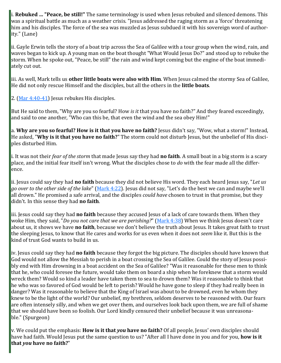i. **Rebuked … "Peace, be still!"** The same terminology is used when Jesus rebuked and silenced demons. This was a spiritual battle as much as a weather crisis. "Jesus addressed the raging storm as a 'force' threatening him and his disciples. The force of the sea was muzzled as Jesus subdued it with his sovereign word of authority." (Lane)

ii. Gayle Erwin tells the story of a boat trip across the Sea of Galilee with a tour group when the wind, rain, and waves began to kick up. A young man on the boat thought "What Would Jesus Do?" and stood up to rebuke the storm. When he spoke out, "Peace, be still" the rain and wind kept coming but the engine of the boat immediately cut out.

iii. As well, Mark tells us **other little boats were also with Him**. When Jesus calmed the stormy Sea of Galilee, He did not only rescue Himself and the disciples, but all the others in the **little boats**.

2.  $(Mar 4:40-41)$  $(Mar 4:40-41)$  $(Mar 4:40-41)$  Jesus rebukes His disciples.

But He said to them, "Why are you so fearful? How *is it* that you have no faith?" And they feared exceedingly, and said to one another, "Who can this be, that even the wind and the sea obey Him!"

a. **Why are you so fearful? How is it that you have no faith?** Jesus didn't say, "Wow, what a storm!" Instead, He asked, "**Why is it that you have no faith?**" The storm could not disturb Jesus, but the unbelief of His disciples disturbed Him.

i. It was not their *fear of the storm* that made Jesus say they had **no faith**. A small boat in a big storm is a scary place, and the initial fear itself isn't wrong. What the disciples chose to *do* with the fear made all the difference.

ii. Jesus could say they had **no faith** because they did not believe His word. They each heard Jesus say, "*Let us go over to the other side of the lake*" [\(Mark 4:22\)](https://www.blueletterbible.org/kjv/mark/4/22/s_961022). Jesus did not say, "Let's do the best we can and maybe we'll all drown." He promised a safe arrival, and the disciples *could have* chosen to trust in that promise, but they didn't. In this sense they had **no faith**.

iii. Jesus could say they had **no faith** because they accused Jesus of a lack of care towards them. When they woke Him, they said, "*Do you not care that we are perishing?*" [\(Mark 4:38\)](https://www.blueletterbible.org/kjv/mark/4/38/s_961038) When we think Jesus doesn't care about us, it shows we have **no faith**, because we don't believe the truth about Jesus. It takes great faith to trust the sleeping Jesus, to know that He cares and works for us even when it does not *seem* like it. But this is the kind of trust God wants to build in us.

iv. Jesus could say they had **no faith** because they forgot the big picture. The disciples should have known that God would not allow the Messiah to perish in a boat crossing the Sea of Galilee. Could the story of Jesus possibly end with Him drowning in a boat accident on the Sea of Galilee? "Was it reasonable for these men to think that he, who could foresee the future, would take them on board a ship when he foreknew that a storm would wreck them? Would so kind a leader have taken them to sea to drown them? Was it reasonable to think that he who was so favored of God would be left to perish? Would he have gone to sleep if they had really been in danger? Was it reasonable to believe that the King of Israel was about to be drowned, even he whom they knew to be the light of the world? Our unbelief, my brethren, seldom deserves to be reasoned with. Our fears are often intensely silly, and when we get over them, and ourselves look back upon them, we are full of shame that we should have been so foolish. Our Lord kindly censured their unbelief because it was unreasonable." (Spurgeon)

v. We could put the emphasis: **How is it that** *you* **have no faith?** Of all people, Jesus' own disciples should have had faith. Would Jesus put the same question to us? "After all I have done in you and for you, **how is it that** *you* **have no faith?**"